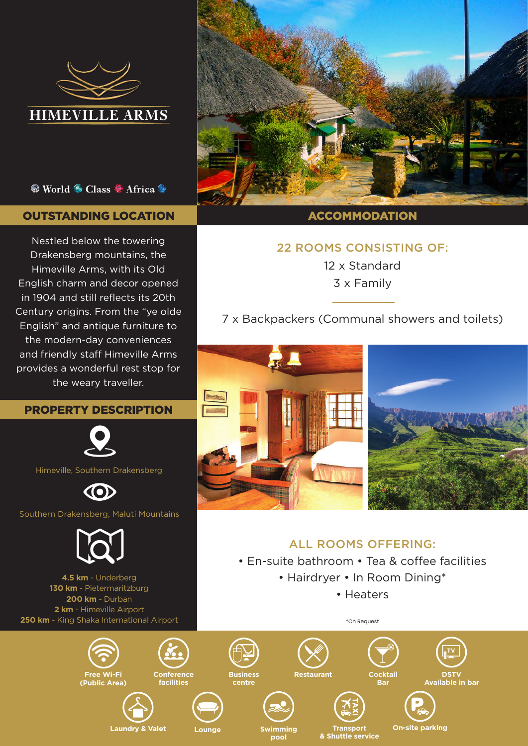

## So World So Class Se Africa So Research

# OUTSTANDING LOCATION DESCRIPTION ACCOMMODATION

Nestled below the towering Drakensberg mountains, the Himeville Arms, with its Old English charm and decor opened in 1904 and still reflects its 20th Century origins. From the "ye olde English" and antique furniture to the modern-day conveniences and friendly staff Himeville Arms provides a wonderful rest stop for the weary traveller.

# PROPERTY DESCRIPTION



Himeville, Southern Drakensberg

**CO** 

Southern Drakensberg, Maluti Mountains



**4.5 km** - Underberg **130 km** - Pietermaritzburg **200 km** - Durban **2 km** - Himeville Airport **250 km** - King Shaka International Airport



# 22 ROOMS CONSISTING OF:

12 x Standard 3 x Family

7 x Backpackers (Communal showers and toilets)



# ALL ROOMS OFFERING:

• En-suite bathroom • Tea & coffee facilities

- Hairdryer In Room Dining\*
	- Heaters

\*On Request